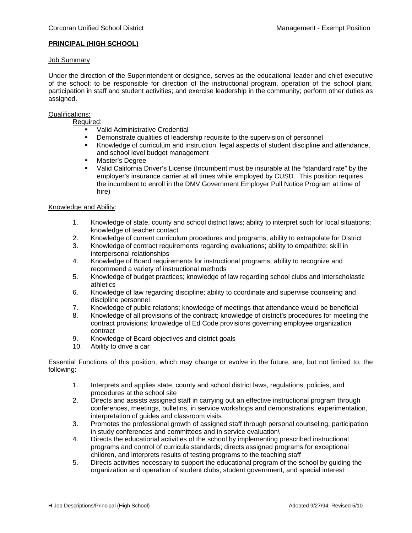## **PRINCIPAL (HIGH SCHOOL)**

### Job Summary

Under the direction of the Superintendent or designee, serves as the educational leader and chief executive of the school; to be responsible for direction of the instructional program, operation of the school plant, participation in staff and student activities; and exercise leadership in the community; perform other duties as assigned.

## Qualifications:

# Required:

- **Valid Administrative Credential**
- Demonstrate qualities of leadership requisite to the supervision of personnel<br>Knowledge of curriculum and instruction legal aspects of student discipline a
- Knowledge of curriculum and instruction, legal aspects of student discipline and attendance, and school level budget management
- **Master's Degree**
- Valid California Driver's License (Incumbent must be insurable at the "standard rate" by the employer's insurance carrier at all times while employed by CUSD. This position requires the incumbent to enroll in the DMV Government Employer Pull Notice Program at time of hire)

### Knowledge and Ability:

- 1. Knowledge of state, county and school district laws; ability to interpret such for local situations; knowledge of teacher contact
- 2. Knowledge of current curriculum procedures and programs; ability to extrapolate for District
- 3. Knowledge of contract requirements regarding evaluations; ability to empathize; skill in interpersonal relationships
- 4. Knowledge of Board requirements for instructional programs; ability to recognize and recommend a variety of instructional methods
- 5. Knowledge of budget practices; knowledge of law regarding school clubs and interscholastic athletics
- 6. Knowledge of law regarding discipline; ability to coordinate and supervise counseling and discipline personnel
- 7. Knowledge of public relations; knowledge of meetings that attendance would be beneficial
- 8. Knowledge of all provisions of the contract; knowledge of district's procedures for meeting the contract provisions; knowledge of Ed Code provisions governing employee organization contract
- 9. Knowledge of Board objectives and district goals
- 10. Ability to drive a car

Essential Functions of this position, which may change or evolve in the future, are, but not limited to, the following:

- 1. Interprets and applies state, county and school district laws, regulations, policies, and procedures at the school site
- 2. Directs and assists assigned staff in carrying out an effective instructional program through conferences, meetings, bulletins, in service workshops and demonstrations, experimentation, interpretation of guides and classroom visits
- 3. Promotes the professional growth of assigned staff through personal counseling, participation in study conferences and committees and in service evaluation\
- 4. Directs the educational activities of the school by implementing prescribed instructional programs and control of curricula standards; directs assigned programs for exceptional children, and interprets results of testing programs to the teaching staff
- 5. Directs activities necessary to support the educational program of the school by guiding the organization and operation of student clubs, student government, and special interest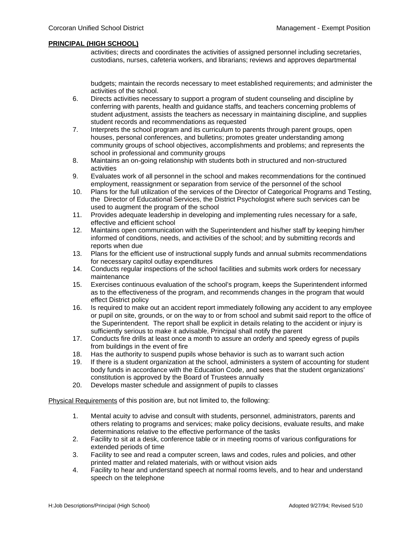### **PRINCIPAL (HIGH SCHOOL)**

activities; directs and coordinates the activities of assigned personnel including secretaries, custodians, nurses, cafeteria workers, and librarians; reviews and approves departmental

budgets; maintain the records necessary to meet established requirements; and administer the activities of the school.

- 6. Directs activities necessary to support a program of student counseling and discipline by conferring with parents, health and guidance staffs, and teachers concerning problems of student adjustment, assists the teachers as necessary in maintaining discipline, and supplies student records and recommendations as requested
- 7. Interprets the school program and its curriculum to parents through parent groups, open houses, personal conferences, and bulletins; promotes greater understanding among community groups of school objectives, accomplishments and problems; and represents the school in professional and community groups
- 8. Maintains an on-going relationship with students both in structured and non-structured activities
- 9. Evaluates work of all personnel in the school and makes recommendations for the continued employment, reassignment or separation from service of the personnel of the school
- 10. Plans for the full utilization of the services of the Director of Categorical Programs and Testing, the Director of Educational Services, the District Psychologist where such services can be used to augment the program of the school
- 11. Provides adequate leadership in developing and implementing rules necessary for a safe, effective and efficient school
- 12. Maintains open communication with the Superintendent and his/her staff by keeping him/her informed of conditions, needs, and activities of the school; and by submitting records and reports when due
- 13. Plans for the efficient use of instructional supply funds and annual submits recommendations for necessary capitol outlay expenditures
- 14. Conducts regular inspections of the school facilities and submits work orders for necessary maintenance
- 15. Exercises continuous evaluation of the school's program, keeps the Superintendent informed as to the effectiveness of the program, and recommends changes in the program that would effect District policy
- 16. Is required to make out an accident report immediately following any accident to any employee or pupil on site, grounds, or on the way to or from school and submit said report to the office of the Superintendent. The report shall be explicit in details relating to the accident or injury is sufficiently serious to make it advisable, Principal shall notify the parent
- 17. Conducts fire drills at least once a month to assure an orderly and speedy egress of pupils from buildings in the event of fire
- 18. Has the authority to suspend pupils whose behavior is such as to warrant such action
- 19. If there is a student organization at the school, administers a system of accounting for student body funds in accordance with the Education Code, and sees that the student organizations' constitution is approved by the Board of Trustees annually
- 20. Develops master schedule and assignment of pupils to classes

Physical Requirements of this position are, but not limited to, the following:

- 1. Mental acuity to advise and consult with students, personnel, administrators, parents and others relating to programs and services; make policy decisions, evaluate results, and make determinations relative to the effective performance of the tasks
- 2. Facility to sit at a desk, conference table or in meeting rooms of various configurations for extended periods of time
- 3. Facility to see and read a computer screen, laws and codes, rules and policies, and other printed matter and related materials, with or without vision aids
- 4. Facility to hear and understand speech at normal rooms levels, and to hear and understand speech on the telephone